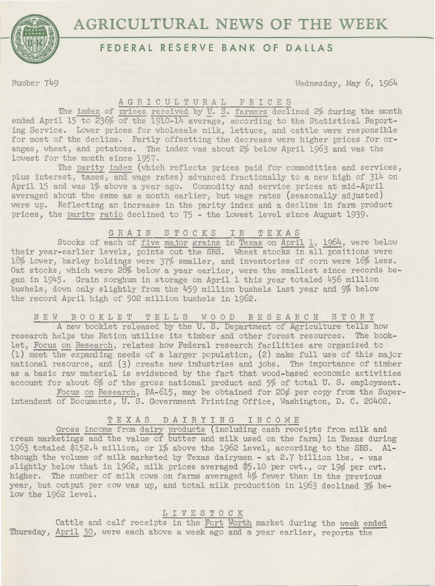# **AGRICULTURAL NEWS OF THE WEEK**



## **FEDERAL RESERVE BANK OF DALLAS**

Number 749 Wednesday, May 6, 1964

A G R I C U L T U R A L P R I C E S<br>The index of prices received by U. S. farmers declined 2% during the month ended April 15 to 236% of the 1910-14 average, according to the Statistical Reporting Service. Lower prices for wholesale milk, lettuce, and cattle were responsible for most of the decline. Partly offsetting the decrease were higher prices for oranges, wheat, and potatoes. The index was about 2% below April 1963 and was the lowest for the month since 1957.

The parity index (which reflects prices paid for commodities and services, plus interest, taxes, and wage rates) advanced fractionally to a new high of 314 on April 15 and was 1% above a year ago. Commodity and service prices at mid-April averaged about the same as a month earlier, but wage rates (seasonally adjusted) were up. Reflecting an increase in the parity index and a decline in farm product prices, the parity ratio declined to 75 - the lowest level since August 1939.

GRAIN STOCKS IN TEXAS

Stocks of each of five ma,ior grains in Texas on April 1, 1964, were below their year-earlier levels, points out the SRS. Wheat stocks in all positions were 18% lower, barley holdings were 37% smaller, and inventories of corn were 16% less. Oat stocks, which were 28% below a year earlier, were the smallest since records began in 1945. Grain sorghum in storage on April 1 this year totaled 456 million bushels, down only slightly from the 459 million bushels last year and 9% below the record April high of 502 million bushels in 1962.

N E W B 0 0 K 1 E T T E 1 1 S W 0 0 D R E S E *A* R C H S T 0 R Y

*A* new booklet released by the U. S. Department of Agriculture tells how research helps the Nation utilize its timber and other forest resources. The booklet, Focus on Research, relates how Federal research facilities are organized to (1) meet the-expanding needs of a larger population, (2) make full use of this major national resource, and (3) create new industries and jobs. The importance of timber as a basic raw material is evidenced by the fact that wood-based economic activities account for about 6% of the gross national product and 5% of total U. S. employment.

Focus on Research, PA-615, may be obtained for 20¢ per copy from the Superintendent of Documents, U. S. Government Printing Office, Washington, D. C. 20402.

### TEXAS DAIRYING INCOME

Gross income from dairy products (including cash receipts from milk and cream marketings and the value of butter and milk used on the farm) in Texas during 1963 totaled \$152.4 million, or 1% above the 1962 level, according to the SRS. Although the volume of milk marketed by Texas dairymen - at 2.7 billion lbs. - was slightly below that in 1962, milk prices averaged \$5.10 per cwt., or 19¢ per cwt. higher. The number of milk cows on farms averaged 4% fewer than in the previous year, but output per cow was up, and total milk production in 1963 declined 3% below the 1962 level.

### L I V E S T 0 C K

Cattle and calf receipts in the Fort Worth market during the week ended Thursday, April 30, were each above a week ago and a year earlier, reports the